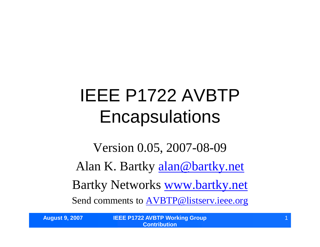# IEEE P1722 AVBTP **Encapsulations**

Version 0.05, 2007-08-09 Alan K. Bartky alan@bartky.net Bartky Networks www.bartky.net Send comments to AVBTP@listserv.ieee.org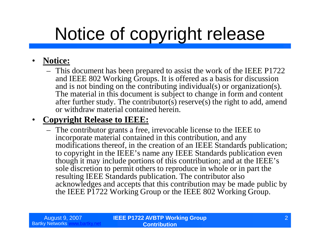# Notice of copyright release

#### • **Notice:**

– This document has been prepared to assist the work of the IEEE P1722 and IEEE 802 Working Groups. It is offered as a basis for discussion and is not binding on the contributing individual(s) or organization(s). The material in this document is subject to change in form and content after further study. The contributor(s) reserve(s) the right to add, amend or withdraw material contained herein.

#### • **Copyright Release to IEEE:**

– The contributor grants a free, irrevocable license to the IEEE to incorporate material contained in this contribution, and any modifications thereof, in the creation of an IEEE Standards publication; to copyright in the IEEE's name any IEEE Standards publication even though it may include portions of this contribution; and at the IEEE's sole discretion to permit others to reproduce in whole or in part the resulting IEEE Standards publication. The contributor also acknowledges and accepts that this contribution may be made public by the IEEE P1722 Working Group or the IEEE 802 Working Group.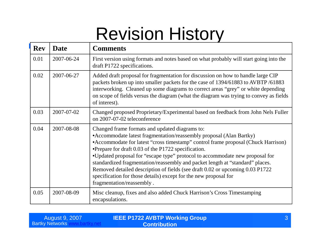### Revision History

| <b>Rev</b> | <b>Date</b> | <b>Comments</b>                                                                                                                                                                                                                                                                                                                                                                                                                                                                                                                                                                                                        |
|------------|-------------|------------------------------------------------------------------------------------------------------------------------------------------------------------------------------------------------------------------------------------------------------------------------------------------------------------------------------------------------------------------------------------------------------------------------------------------------------------------------------------------------------------------------------------------------------------------------------------------------------------------------|
| 0.01       | 2007-06-24  | First version using formats and notes based on what probably will start going into the<br>draft P1722 specifications.                                                                                                                                                                                                                                                                                                                                                                                                                                                                                                  |
| 0.02       | 2007-06-27  | Added draft proposal for fragmentation for discussion on how to handle large CIP<br>packets broken up into smaller packets for the case of 1394/61883 to AVBTP/61883<br>interworking. Cleaned up some diagrams to correct areas "grey" or white depending<br>on scope of fields versus the diagram (what the diagram was trying to convey as fields<br>of interest).                                                                                                                                                                                                                                                   |
| 0.03       | 2007-07-02  | Changed proposed Proprietary/Experimental based on feedback from John Nels Fuller<br>on 2007-07-02 teleconference                                                                                                                                                                                                                                                                                                                                                                                                                                                                                                      |
| 0.04       | 2007-08-08  | Changed frame formats and updated diagrams to:<br>• Accommodate latest fragmentation/reassembly proposal (Alan Bartky)<br>• Accommodate for latest "cross timestamp" control frame proposal (Chuck Harrison)<br>•Prepare for draft 0.03 of the P1722 specification.<br>•Updated proposal for "escape type" protocol to accommodate new proposal for<br>standardized fragmentation/reassembly and packet length at "standard" places.<br>Removed detailed description of fields (see draft 0.02 or upcoming 0.03 P1722<br>specification for those details) except for the new proposal for<br>fragmentation/reassembly. |
| 0.05       | 2007-08-09  | Misc cleanup, fixes and also added Chuck Harrison's Cross Timestamping<br>encapsulations.                                                                                                                                                                                                                                                                                                                                                                                                                                                                                                                              |

| August 9, 2007           | <b>IEEE P1722 AVBTP Working Group</b> |  |
|--------------------------|---------------------------------------|--|
| <b>Bartky Networks w</b> | <b>Contribution</b> \                 |  |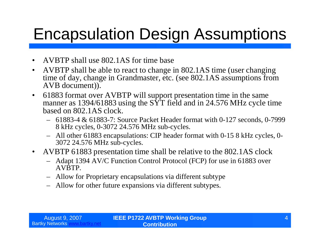### Encapsulation Design Assumptions

- AVBTP shall use 802.1AS for time base
- AVBTP shall be able to react to change in 802.1AS time (user changing time of day, change in Grandmaster, etc. (see 802.1AS assumptions from AVB document)).
- 61883 format over AVBTP will support presentation time in the same manner as 1394/61883 using the  $S\overline{Y}$  field and in 24.576 MHz cycle time based on 802.1AS clock.
	- 61883-4 & 61883-7: Source Packet Header format with 0-127 seconds, 0-7999 8 kHz cycles, 0-3072 24.576 MHz sub-cycles.
	- All other 61883 encapsulations: CIP header format with 0-15 8 kHz cycles, 0- 3072 24.576 MHz sub-cycles.
- AVBTP 61883 presentation time shall be relative to the 802.1AS clock
	- Adapt 1394 AV/C Function Control Protocol (FCP) for use in 61883 over AVBTP.
	- Allow for Proprietary encapsulations via different subtype
	- Allow for other future expansions via different subtypes.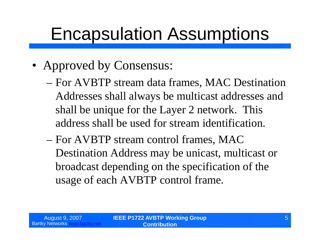### Encapsulation Assumptions

- Approved by Consensus:
	- –For AVBTP stream data frames, MAC Destination Addresses shall always be multicast addresses and shall be unique for the Layer 2 network. This address shall be used for stream identification.
	- –For AVBTP stream control frames, MAC Destination Address may be unicast, multicast or broadcast depending on the specification of the usage of each AVBTP control frame.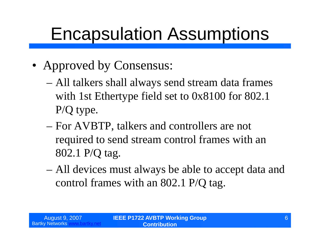### Encapsulation Assumptions

- Approved by Consensus:
	- –All talkers shall always send stream data frames with 1st Ethertype field set to 0x8100 for 802.1 P/Q type.
	- –For AVBTP, talkers and controllers are not required to send stream control frames with an 802.1 P/Q tag.
	- –All devices must always be able to accept data and control frames with an 802.1 P/Q tag.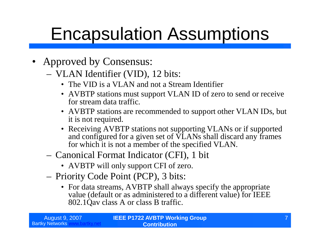## Encapsulation Assumptions

- Approved by Consensus:
	- VLAN Identifier (VID), 12 bits:
		- The VID is a VLAN and not a Stream Identifier
		- AVBTP stations must support VLAN ID of zero to send or receive for stream data traffic.
		- AVBTP stations are recommended to support other VLAN IDs, but it is not required.
		- Receiving AVBTP stations not supporting VLANs or if supported and configured for a given set of VLANs shall discard any frames for which it is not a member of the specified VLAN.
	- Canonical Format Indicator (CFI), 1 bit
		- AVBTP will only support CFI of zero.
	- Priority Code Point (PCP), 3 bits:
		- For data streams, AVBTP shall always specify the appropriate value (default or as administered to a different value) for IEEE 802.1Qav class A or class B traffic.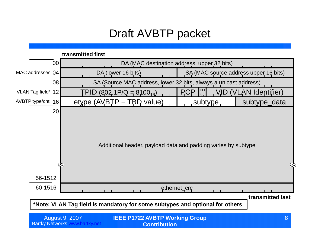#### Draft AVBTP packet

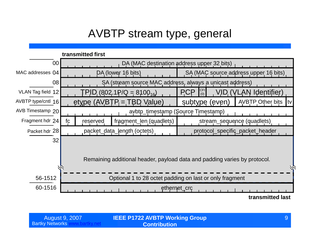### AVBTP stream type, general

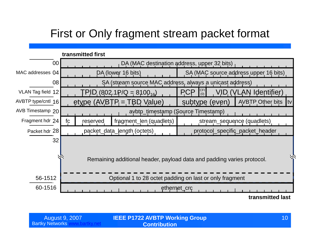### First or Only fragment stream packet format



Bartky Networks www.bartky.net

**IEEE P1722 AVBTP Working Group** August 9, 2007 10 **Contribution**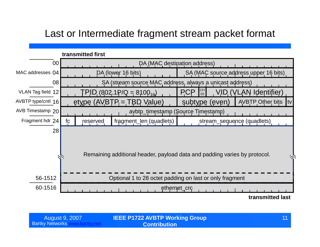#### Last or Intermediate fragment stream packet format

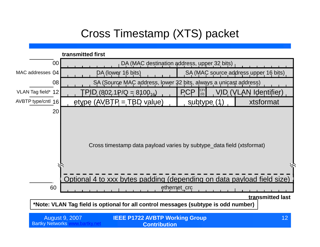### Cross Timestamp (XTS) packet

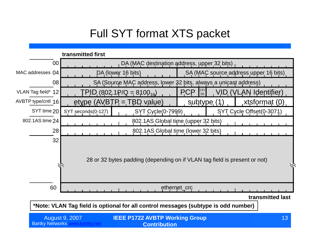### Full SYT format XTS packet



**\*Note: VLAN Tag field is optional for all control messages (subtype is odd number)**

| August 9, 2007           | <b>IEEE P1722 AVBTP Working Group</b> | 13 <sup>°</sup> |
|--------------------------|---------------------------------------|-----------------|
| <b>Bartky Networks v</b> | <b>Contribution</b>                   |                 |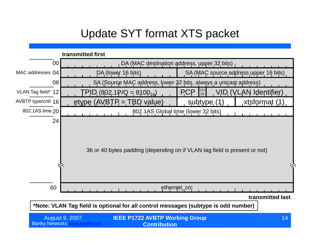### Update SYT format XTS packet



| August 9, 2007 | <b>IEEE P1722 AVBTP Working Group</b> |  |
|----------------|---------------------------------------|--|
| y Networks v   | <b>Contribution</b>                   |  |

**Bartky Net**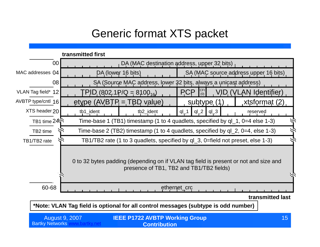#### Generic format XTS packet



| August 9, 2007           | <b>IEEE P1722 AVBTP Working Group</b> | 15 |
|--------------------------|---------------------------------------|----|
| <b>Bartky Networks</b> v | <b>Contribution</b>                   |    |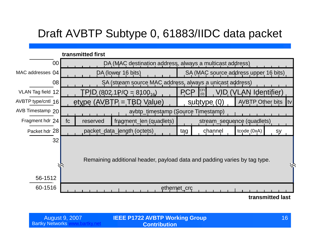### Draft AVBTP Subtype 0, 61883/IIDC data packet



| <b>August 9, 2007</b>  |  |
|------------------------|--|
| <b>Bartky Networks</b> |  |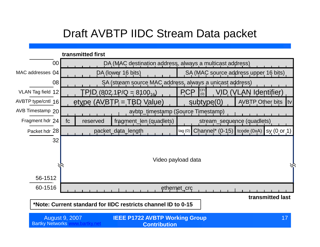#### Draft AVBTP IIDC Stream Data packet

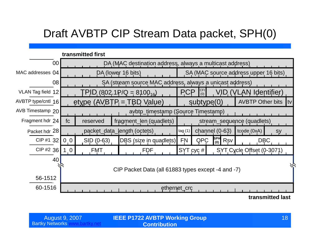### Draft AVBTP CIP Stream Data packet, SPH(0)

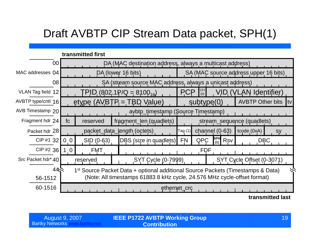### Draft AVBTP CIP Stream Data packet, SPH(1)

|                                                                                                                |                                                                          | transmitted first            |                    |  |                                    |                              |            |                  |     |                                       |                  |  |
|----------------------------------------------------------------------------------------------------------------|--------------------------------------------------------------------------|------------------------------|--------------------|--|------------------------------------|------------------------------|------------|------------------|-----|---------------------------------------|------------------|--|
| 00                                                                                                             | DA (MAC destination address, always a multicast address)                 |                              |                    |  |                                    |                              |            |                  |     |                                       |                  |  |
| MAC addresses 04                                                                                               |                                                                          |                              | DA (lower 16 bits) |  |                                    |                              |            |                  |     | SA (MAC source address upper 16 bits) |                  |  |
|                                                                                                                | 08<br>SA (stream source MAC address, always a unicast address)           |                              |                    |  |                                    |                              |            |                  |     |                                       |                  |  |
| VLAN Tag field 12                                                                                              |                                                                          | $PID (802.1P/Q = 8100_{16})$ |                    |  |                                    | <b>PCP</b>                   | CFI<br>(0) |                  |     | VID (VLAN Identifier)                 |                  |  |
| AVBTP type/cntl 16                                                                                             | etype $(AVBTP = TBD Value)$<br><b>AVBTP Other bits</b><br>subtype(0)     |                              |                    |  |                                    |                              | Itv        |                  |     |                                       |                  |  |
| AVB Timestamp 20                                                                                               |                                                                          |                              |                    |  | avbtp_timestamp (Source Timestamp) |                              |            |                  |     |                                       |                  |  |
| Fragment hdr 24                                                                                                | fc                                                                       | reserved                     |                    |  | fragment_len (quadlets)            |                              |            |                  |     | stream_sequence (quadlets)            |                  |  |
| Packet hdr 28                                                                                                  |                                                                          | packet_data_length (octets)  |                    |  |                                    | $\mathsf{Tag}\left(1\right)$ |            | channel $(0-63)$ |     | tcode (0xA)                           | sy               |  |
| CIP #1 32                                                                                                      | 0 <sub>0</sub>                                                           | SID (0-63)                   |                    |  | DBS (size in quadlets)             | <b>FN</b>                    | <b>QPC</b> | SPH<br>(1)       | Rsv |                                       | <b>DBC</b>       |  |
| CIP#2 $36$                                                                                                     | 1 <sub>0</sub>                                                           | <b>FMT</b>                   |                    |  |                                    |                              | <b>FDF</b> |                  |     |                                       |                  |  |
| Src Packet hdr* 40                                                                                             |                                                                          | reserved                     |                    |  | SYT Cycle (0-7999)                 |                              |            |                  |     | SYT Cycle Offset (0-3071)             |                  |  |
| 44 <sub>2</sub><br>1 <sup>st</sup> Source Packet Data + optional additional Source Packets (Timestamps & Data) |                                                                          |                              |                    |  |                                    |                              |            |                  |     |                                       |                  |  |
| 56-1512                                                                                                        | (Note: All timestamps 61883 8 kHz cycle, 24.576 MHz cycle-offset format) |                              |                    |  |                                    |                              |            |                  |     |                                       |                  |  |
| 60-1516                                                                                                        |                                                                          |                              |                    |  |                                    | ethernet_crc                 |            |                  |     |                                       |                  |  |
|                                                                                                                |                                                                          |                              |                    |  |                                    |                              |            |                  |     |                                       | transmitted last |  |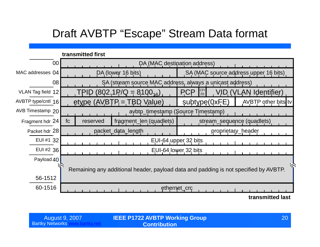### Draft AVBTP "Escape" Stream Data format

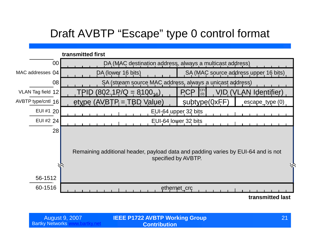### Draft AVBTP "Escape" type 0 control format



| <b>August 9, 2007</b>  |  |
|------------------------|--|
| <b>Bartky Networks</b> |  |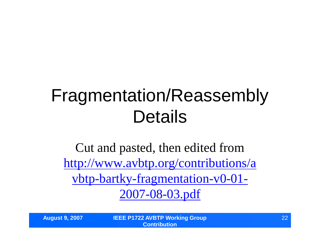## Fragmentation/Reassembly Details

Cut and pasted, then edited from http://www.avbtp.org/contributions/a vbtp-bartky-fragmentation-v0-01- 2007-08-03.pdf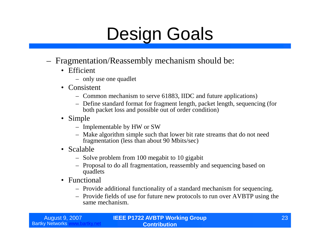## Design Goals

- Fragmentation/Reassembly mechanism should be:
	- Efficient
		- only use one quadlet
	- Consistent
		- Common mechanism to serve 61883, IIDC and future applications)
		- Define standard format for fragment length, packet length, sequencing (for both packet loss and possible out of order condition)
	- Simple
		- Implementable by HW or SW
		- Make algorithm simple such that lower bit rate streams that do not need fragmentation (less than about 90 Mbits/sec)
	- Scalable
		- Solve problem from 100 megabit to 10 gigabit
		- Proposal to do all fragmentation, reassembly and sequencing based on quadlets
	- Functional
		- Provide additional functionality of a standard mechanism for sequencing.
		- Provide fields of use for future new protocols to run over AVBTP using the same mechanism.

| <b>August 9, 2007</b>  |  |
|------------------------|--|
| <b>Bartky Networks</b> |  |

**IEEE P1722 AVBTP Working Group Contribution**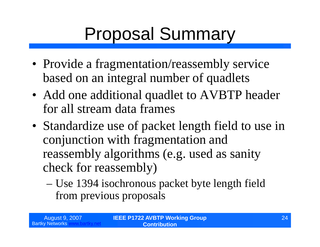# Proposal Summary

- Provide a fragmentation/reassembly service based on an integral number of quadlets
- Add one additional quadlet to AVBTP header for all stream data frames
- Standardize use of packet length field to use in conjunction with fragmentation and reassembly algorithms (e.g. used as sanity check for reassembly)
	- –Use 1394 isochronous packet byte length field from previous proposals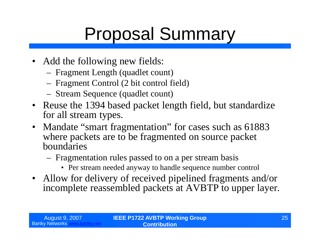# Proposal Summary

- Add the following new fields:
	- Fragment Length (quadlet count)
	- Fragment Control (2 bit control field)
	- Stream Sequence (quadlet count)
- Reuse the 1394 based packet length field, but standardize for all stream types.
- Mandate "smart fragmentation" for cases such as 61883 where packets are to be fragmented on source packet boundaries
	- Fragmentation rules passed to on a per stream basis
		- Per stream needed anyway to handle sequence number control
- Allow for delivery of received pipelined fragments and/or incomplete reassembled packets at AVBTP to upper layer.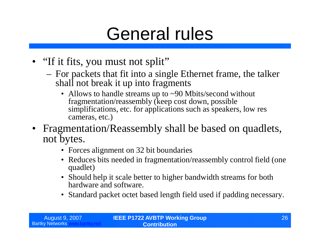### General rules

- "If it fits, you must not split"
	- For packets that fit into a single Ethernet frame, the talker shall not break it up into fragments
		- Allows to handle streams up to ~90 Mbits/second without fragmentation/reassembly (keep cost down, possible simplifications, etc. for applications such as speakers, low res cameras, etc.)
- Fragmentation/Reassembly shall be based on quadlets, not bytes.
	- Forces alignment on 32 bit boundaries
	- Reduces bits needed in fragmentation/reassembly control field (one) quadlet)
	- Should help it scale better to higher bandwidth streams for both hardware and software.
	- Standard packet octet based length field used if padding necessary.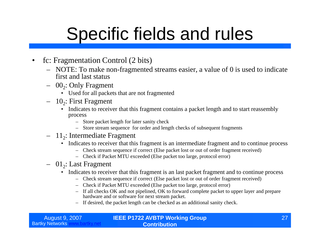## Specific fields and rules

- fc: Fragmentation Control (2 bits)
	- NOTE: To make non-fragmented streams easier, a value of 0 is used to indicate first and last status
	- $-$  00<sub>2</sub>: Only Fragment
		- Used for all packets that are not fragmented
	- $-10_2$ : First Fragment
		- Indicates to receiver that this fragment contains a packet length and to start reassembly process
			- Store packet length for later sanity check
			- Store stream sequence for order and length checks of subsequent fragments
	- $-11_2$ : Intermediate Fragment
		- Indicates to receiver that this fragment is an intermediate fragment and to continue process
			- Check stream sequence if correct (Else packet lost or out of order fragment received)
			- Check if Packet MTU exceeded (Else packet too large, protocol error)
	- $-$  01<sub>2</sub>: Last Fragment
		- Indicates to receiver that this fragment is an last packet fragment and to continue process
			- Check stream sequence if correct (Else packet lost or out of order fragment received)
			- Check if Packet MTU exceeded (Else packet too large, protocol error)
			- If all checks OK and not pipelined, OK to forward complete packet to upper layer and prepare hardware and or software for next stream packet.
			- If desired, the packet length can be checked as an additional sanity check.

| August 9, 2007           | <b>IEEE P1722 AVBTP Working Group</b> | 27 |
|--------------------------|---------------------------------------|----|
| <b>Bartky Networks w</b> | <b>Contribution</b>                   |    |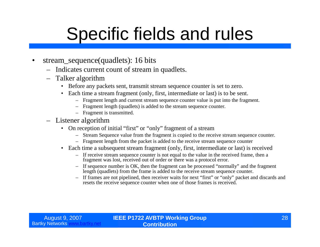## Specific fields and rules

- stream\_sequence(quadlets): 16 bits
	- Indicates current count of stream in quadlets.
	- Talker algorithm
		- Before any packets sent, transmit stream sequence counter is set to zero.
		- Each time a stream fragment (only, first, intermediate or last) is to be sent.
			- Fragment length and current stream sequence counter value is put into the fragment.
			- Fragment length (quadlets) is added to the stream sequence counter.
			- Fragment is transmitted.
	- Listener algorithm
		- On reception of initial "first" or "only" fragment of a stream
			- Stream Sequence value from the fragment is copied to the receive stream sequence counter.
			- Fragment length from the packet is added to the receive stream sequence counter
		- Each time a subsequent stream fragment (only, first, intermediate or last) is received
			- If receive stream sequence counter is not equal to the value in the received frame, then a fragment was lost, received out of order or there was a protocol error.
			- If sequence number is OK, then the fragment can be processed "normally"and the fragment length (quadlets) from the frame is added to the receive stream sequence counter.
			- If frames are not pipelined, then receiver waits for next "first"or "only"packet and discards and resets the receive sequence counter when one of those frames is received.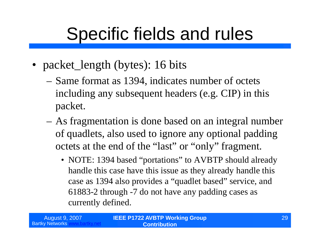## Specific fields and rules

- packet\_length (bytes): 16 bits
	- –Same format as 1394, indicates number of octets including any subsequent headers (e.g. CIP) in this packet.
	- –As fragmentation is done based on an integral number of quadlets, also used to ignore any optional padding octets at the end of the "last" or "only" fragment.
		- NOTE: 1394 based "portations" to AVBTP should already handle this case have this issue as they already handle this case as 1394 also provides a "quadlet based" service, and 61883-2 through -7 do not have any padding cases as currently defined.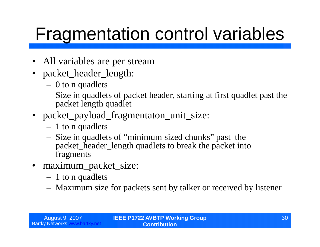# Fragmentation control variables

- All variables are per stream
- packet\_header\_length:
	- 0 to n quadlets
	- Size in quadlets of packet header, starting at first quadlet past the packet length quadlet
- packet\_payload\_fragmentaton\_unit\_size:
	- 1 to n quadlets
	- Size in quadlets of "minimum sized chunks"past the packet\_header\_length quadlets to break the packet into fragments
- maximum\_packet\_size:
	- 1 to n quadlets
	- Maximum size for packets sent by talker or received by listener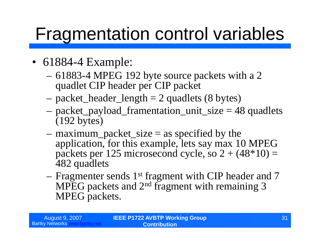## Fragmentation control variables

- 61884-4 Example:
	- –61883-4 MPEG 192 byte source packets with a 2 quadlet CIP header per CIP packet
	- $-$  packet\_header\_length  $= 2$  quadlets (8 bytes)
	- –packet\_payload\_framentation\_unit\_size = 48 quadlets (192 bytes)
	- $-$  maximum\_packet\_size  $=$  as specified by the application, for this example, lets say max 10 MPEG packets per 125 microsecond cycle, so  $2 + (48*10) =$ 482 quadlets
	- –Fragmenter sends 1st fragment with CIP header and 7 MPEG packets and 2nd fragment with remaining 3 MPEG packets.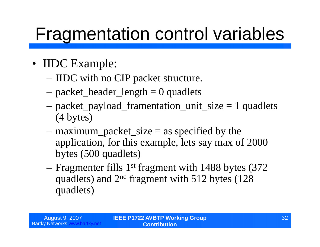## Fragmentation control variables

- IIDC Example:
	- –IIDC with no CIP packet structure.
	- $-$  packet\_header\_length  $= 0$  quadlets
	- –packet\_payload\_framentation\_unit\_size = 1 quadlets (4 bytes)
	- $-$  maximum\_packet\_size  $=$  as specified by the application, for this example, lets say max of 2000 bytes (500 quadlets)
	- –Fragmenter fills 1st fragment with 1488 bytes (372 quadlets) and 2nd fragment with 512 bytes (128 quadlets)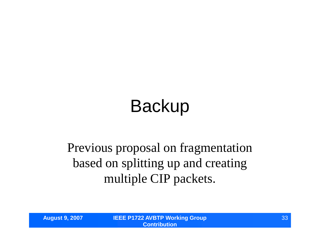# Backup

### Previous proposal on fragmentation based on splitting up and creating multiple CIP packets.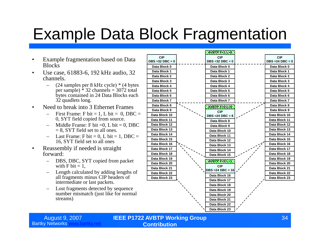### Example Data Block Fragmentation

- Example fragmentation based on Data **Blocks**
- Use case, 61883-6, 192 kHz audio, 32 channels.
	- (24 samples per 8 kHz cycle) \* (4 bytes per sample)  $\hat{ }$  32 channels = 3072 total bytes contained in 24 Data Blocks each 32 quadlets long.
- Need to break into 3 Ethernet Frames
	- First Frame: F bit = 1, L bit = 0, DBC = 0, SYT field copied from source.
	- Middle Frame: F bit  $=0$ , L bit  $= 0$ , DBC  $= 8$ , SYT field set to all ones.
	- $-$  Last Frame: F bit = 0, L bit = 1, DBC = 16, SYT field set to all ones
- Reassembly if needed is straight forward:
	- DBS, DBC, SYT copied from packet with  $F \text{ bit} = 1$ .
	- Length calculated by adding lengths of all fragments minus CIP headers of intermediate or last packets.
	- Lost fragments detected by sequence number mismatch (just like for normal streams)



August 9, 2007 **IEEE P1722 AVBTP Working Group Contribution**